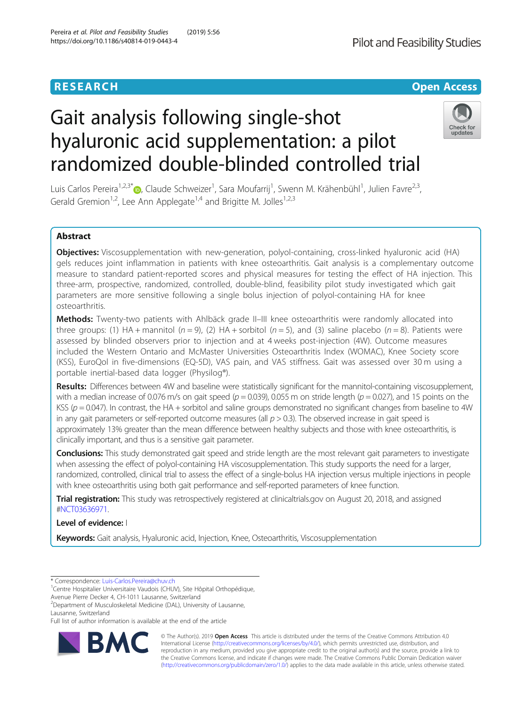# **RESEARCH CHE Open Access**

# Gait analysis following single-shot hyaluronic acid supplementation: a pilot randomized double-blinded controlled trial



Luis Carlos Pereira<sup>1,2,3[\\*](http://orcid.org/0000-0003-1998-0910)</sup>®, Claude Schweizer<sup>1</sup>, Sara Moufarrij<sup>1</sup>, Swenn M. Krähenbühl<sup>1</sup>, Julien Favre<sup>2,3</sup>, Gerald Gremion<sup>1,2</sup>, Lee Ann Applegate<sup>1,4</sup> and Brigitte M. Jolles<sup>1,2,3</sup>

# Abstract

Objectives: Viscosupplementation with new-generation, polyol-containing, cross-linked hyaluronic acid (HA) gels reduces joint inflammation in patients with knee osteoarthritis. Gait analysis is a complementary outcome measure to standard patient-reported scores and physical measures for testing the effect of HA injection. This three-arm, prospective, randomized, controlled, double-blind, feasibility pilot study investigated which gait parameters are more sensitive following a single bolus injection of polyol-containing HA for knee osteoarthritis.

Methods: Twenty-two patients with Ahlbäck grade II–III knee osteoarthritis were randomly allocated into three groups: (1) HA + mannitol ( $n = 9$ ), (2) HA + sorbitol ( $n = 5$ ), and (3) saline placebo ( $n = 8$ ). Patients were assessed by blinded observers prior to injection and at 4 weeks post-injection (4W). Outcome measures included the Western Ontario and McMaster Universities Osteoarthritis Index (WOMAC), Knee Society score (KSS), EuroQol in five-dimensions (EQ-5D), VAS pain, and VAS stiffness. Gait was assessed over 30 m using a portable inertial-based data logger (Physilog®).

Results: Differences between 4W and baseline were statistically significant for the mannitol-containing viscosupplement, with a median increase of 0.076 m/s on gait speed ( $p = 0.039$ ), 0.055 m on stride length ( $p = 0.027$ ), and 15 points on the KSS ( $p = 0.047$ ). In contrast, the HA + sorbitol and saline groups demonstrated no significant changes from baseline to 4W in any gait parameters or self-reported outcome measures (all  $p > 0.3$ ). The observed increase in gait speed is approximately 13% greater than the mean difference between healthy subjects and those with knee osteoarthritis, is clinically important, and thus is a sensitive gait parameter.

Conclusions: This study demonstrated gait speed and stride length are the most relevant gait parameters to investigate when assessing the effect of polyol-containing HA viscosupplementation. This study supports the need for a larger, randomized, controlled, clinical trial to assess the effect of a single-bolus HA injection versus multiple injections in people with knee osteoarthritis using both gait performance and self-reported parameters of knee function.

**Trial registration:** This study was retrospectively registered at clinicaltrials.gov on August 20, 2018, and assigned #[NCT03636971](http://clinicaltrials.gov/).

## Level of evidence: I

**Keywords:** Gait analysis, Hyaluronic acid, Injection, Knee, Osteoarthritis, Viscosupplementation

Avenue Pierre Decker 4, CH-1011 Lausanne, Switzerland

<sup>2</sup> Department of Musculoskeletal Medicine (DAL), University of Lausanne, Lausanne, Switzerland

Full list of author information is available at the end of the article



© The Author(s). 2019 **Open Access** This article is distributed under the terms of the Creative Commons Attribution 4.0 International License [\(http://creativecommons.org/licenses/by/4.0/](http://creativecommons.org/licenses/by/4.0/)), which permits unrestricted use, distribution, and reproduction in any medium, provided you give appropriate credit to the original author(s) and the source, provide a link to the Creative Commons license, and indicate if changes were made. The Creative Commons Public Domain Dedication waiver [\(http://creativecommons.org/publicdomain/zero/1.0/](http://creativecommons.org/publicdomain/zero/1.0/)) applies to the data made available in this article, unless otherwise stated.

<sup>\*</sup> Correspondence: [Luis-Carlos.Pereira@chuv.ch](mailto:Luis-Carlos.Pereira@chuv.ch) <sup>1</sup>

<sup>&</sup>lt;sup>1</sup>Centre Hospitalier Universitaire Vaudois (CHUV), Site Hôpital Orthopédique,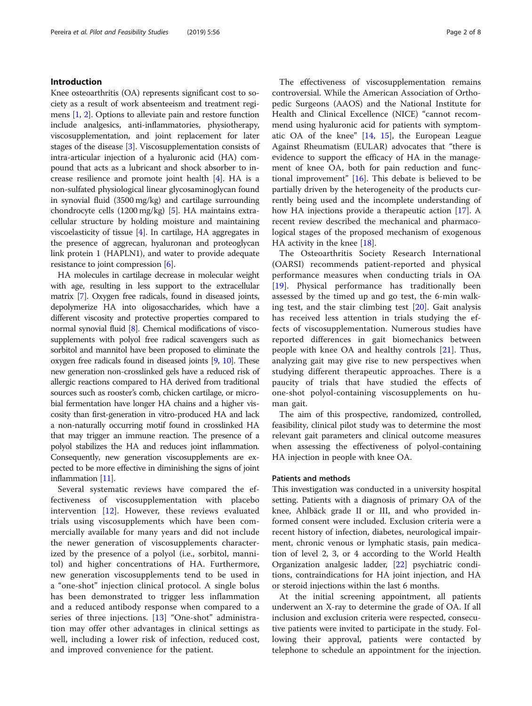### Introduction

Knee osteoarthritis (OA) represents significant cost to society as a result of work absenteeism and treatment regimens [\[1,](#page-6-0) [2\]](#page-6-0). Options to alleviate pain and restore function include analgesics, anti-inflammatories, physiotherapy, viscosupplementation, and joint replacement for later stages of the disease [\[3](#page-6-0)]. Viscosupplementation consists of intra-articular injection of a hyaluronic acid (HA) compound that acts as a lubricant and shock absorber to increase resilience and promote joint health [[4](#page-6-0)]. HA is a non-sulfated physiological linear glycosaminoglycan found in synovial fluid (3500 mg/kg) and cartilage surrounding chondrocyte cells (1200 mg/kg) [[5](#page-6-0)]. HA maintains extracellular structure by holding moisture and maintaining viscoelasticity of tissue [\[4\]](#page-6-0). In cartilage, HA aggregates in the presence of aggrecan, hyaluronan and proteoglycan link protein 1 (HAPLN1), and water to provide adequate resistance to joint compression [\[6](#page-6-0)].

HA molecules in cartilage decrease in molecular weight with age, resulting in less support to the extracellular matrix [\[7](#page-6-0)]. Oxygen free radicals, found in diseased joints, depolymerize HA into oligosaccharides, which have a different viscosity and protective properties compared to normal synovial fluid [[8](#page-6-0)]. Chemical modifications of viscosupplements with polyol free radical scavengers such as sorbitol and mannitol have been proposed to eliminate the oxygen free radicals found in diseased joints [\[9,](#page-6-0) [10\]](#page-6-0). These new generation non-crosslinked gels have a reduced risk of allergic reactions compared to HA derived from traditional sources such as rooster's comb, chicken cartilage, or microbial fermentation have longer HA chains and a higher viscosity than first-generation in vitro-produced HA and lack a non-naturally occurring motif found in crosslinked HA that may trigger an immune reaction. The presence of a polyol stabilizes the HA and reduces joint inflammation. Consequently, new generation viscosupplements are expected to be more effective in diminishing the signs of joint inflammation [\[11](#page-6-0)].

Several systematic reviews have compared the effectiveness of viscosupplementation with placebo intervention [[12\]](#page-6-0). However, these reviews evaluated trials using viscosupplements which have been commercially available for many years and did not include the newer generation of viscosupplements characterized by the presence of a polyol (i.e., sorbitol, mannitol) and higher concentrations of HA. Furthermore, new generation viscosupplements tend to be used in a "one-shot" injection clinical protocol. A single bolus has been demonstrated to trigger less inflammation and a reduced antibody response when compared to a series of three injections. [[13\]](#page-6-0) "One-shot" administration may offer other advantages in clinical settings as well, including a lower risk of infection, reduced cost, and improved convenience for the patient.

The effectiveness of viscosupplementation remains controversial. While the American Association of Orthopedic Surgeons (AAOS) and the National Institute for Health and Clinical Excellence (NICE) "cannot recommend using hyaluronic acid for patients with symptomatic OA of the knee" [\[14](#page-6-0), [15\]](#page-6-0), the European League Against Rheumatism (EULAR) advocates that "there is evidence to support the efficacy of HA in the management of knee OA, both for pain reduction and functional improvement" [\[16](#page-6-0)]. This debate is believed to be partially driven by the heterogeneity of the products currently being used and the incomplete understanding of how HA injections provide a therapeutic action [[17](#page-6-0)]. A recent review described the mechanical and pharmacological stages of the proposed mechanism of exogenous HA activity in the knee [\[18](#page-7-0)].

The Osteoarthritis Society Research International (OARSI) recommends patient-reported and physical performance measures when conducting trials in OA [[19\]](#page-7-0). Physical performance has traditionally been assessed by the timed up and go test, the 6-min walking test, and the stair climbing test [[20](#page-7-0)]. Gait analysis has received less attention in trials studying the effects of viscosupplementation. Numerous studies have reported differences in gait biomechanics between people with knee OA and healthy controls [\[21](#page-7-0)]. Thus, analyzing gait may give rise to new perspectives when studying different therapeutic approaches. There is a paucity of trials that have studied the effects of one-shot polyol-containing viscosupplements on human gait.

The aim of this prospective, randomized, controlled, feasibility, clinical pilot study was to determine the most relevant gait parameters and clinical outcome measures when assessing the effectiveness of polyol-containing HA injection in people with knee OA.

#### Patients and methods

This investigation was conducted in a university hospital setting. Patients with a diagnosis of primary OA of the knee, Ahlbäck grade II or III, and who provided informed consent were included. Exclusion criteria were a recent history of infection, diabetes, neurological impairment, chronic venous or lymphatic stasis, pain medication of level 2, 3, or 4 according to the World Health Organization analgesic ladder, [\[22](#page-7-0)] psychiatric conditions, contraindications for HA joint injection, and HA or steroid injections within the last 6 months.

At the initial screening appointment, all patients underwent an X-ray to determine the grade of OA. If all inclusion and exclusion criteria were respected, consecutive patients were invited to participate in the study. Following their approval, patients were contacted by telephone to schedule an appointment for the injection.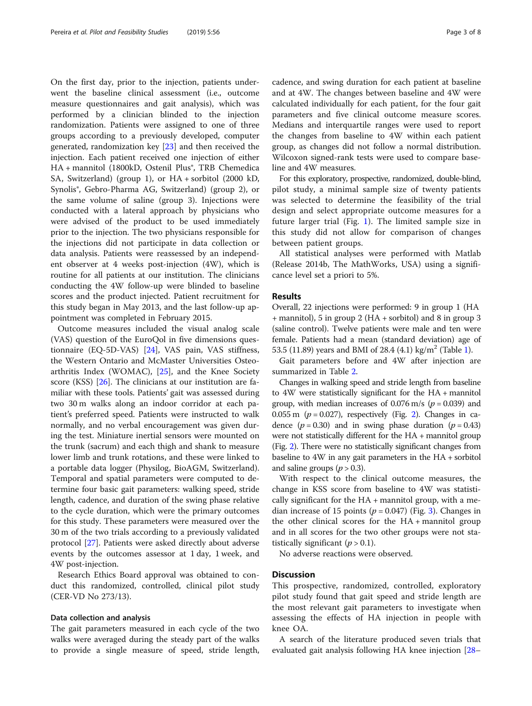On the first day, prior to the injection, patients underwent the baseline clinical assessment (i.e., outcome measure questionnaires and gait analysis), which was performed by a clinician blinded to the injection randomization. Patients were assigned to one of three groups according to a previously developed, computer generated, randomization key [[23\]](#page-7-0) and then received the injection. Each patient received one injection of either HA + mannitol (1800kD, Ostenil Plus<sup>®</sup>, TRB Chemedica SA, Switzerland) (group 1), or HA + sorbitol (2000 kD, Synolis®, Gebro-Pharma AG, Switzerland) (group 2), or the same volume of saline (group 3). Injections were conducted with a lateral approach by physicians who were advised of the product to be used immediately prior to the injection. The two physicians responsible for the injections did not participate in data collection or data analysis. Patients were reassessed by an independent observer at 4 weeks post-injection (4W), which is routine for all patients at our institution. The clinicians conducting the 4W follow-up were blinded to baseline scores and the product injected. Patient recruitment for this study began in May 2013, and the last follow-up appointment was completed in February 2015.

Outcome measures included the visual analog scale (VAS) question of the EuroQol in five dimensions questionnaire (EQ-5D-VAS) [[24\]](#page-7-0), VAS pain, VAS stiffness, the Western Ontario and McMaster Universities Osteoarthritis Index (WOMAC), [[25](#page-7-0)], and the Knee Society score (KSS) [[26\]](#page-7-0). The clinicians at our institution are familiar with these tools. Patients' gait was assessed during two 30 m walks along an indoor corridor at each patient's preferred speed. Patients were instructed to walk normally, and no verbal encouragement was given during the test. Miniature inertial sensors were mounted on the trunk (sacrum) and each thigh and shank to measure lower limb and trunk rotations, and these were linked to a portable data logger (Physilog, BioAGM, Switzerland). Temporal and spatial parameters were computed to determine four basic gait parameters: walking speed, stride length, cadence, and duration of the swing phase relative to the cycle duration, which were the primary outcomes for this study. These parameters were measured over the 30 m of the two trials according to a previously validated protocol [\[27](#page-7-0)]. Patients were asked directly about adverse events by the outcomes assessor at 1 day, 1 week, and 4W post-injection.

Research Ethics Board approval was obtained to conduct this randomized, controlled, clinical pilot study (CER-VD No 273/13).

#### Data collection and analysis

The gait parameters measured in each cycle of the two walks were averaged during the steady part of the walks to provide a single measure of speed, stride length, cadence, and swing duration for each patient at baseline and at 4W. The changes between baseline and 4W were calculated individually for each patient, for the four gait parameters and five clinical outcome measure scores. Medians and interquartile ranges were used to report the changes from baseline to 4W within each patient group, as changes did not follow a normal distribution. Wilcoxon signed-rank tests were used to compare baseline and 4W measures.

For this exploratory, prospective, randomized, double-blind, pilot study, a minimal sample size of twenty patients was selected to determine the feasibility of the trial design and select appropriate outcome measures for a future larger trial (Fig. [1](#page-3-0)). The limited sample size in this study did not allow for comparison of changes between patient groups.

All statistical analyses were performed with Matlab (Release 2014b, The MathWorks, USA) using a significance level set a priori to 5%.

#### Results

Overall, 22 injections were performed: 9 in group 1 (HA + mannitol), 5 in group 2 (HA + sorbitol) and 8 in group 3 (saline control). Twelve patients were male and ten were female. Patients had a mean (standard deviation) age of 53.5 ([1](#page-3-0)1.89) years and BMI of 28.4 (4.1) kg/m<sup>2</sup> (Table 1).

Gait parameters before and 4W after injection are summarized in Table [2](#page-4-0).

Changes in walking speed and stride length from baseline to 4W were statistically significant for the HA + mannitol group, with median increases of 0.076 m/s ( $p = 0.039$ ) and 0.055 m ( $p = 0.027$ ), respectively (Fig. [2\)](#page-4-0). Changes in cadence ( $p = 0.30$ ) and in swing phase duration ( $p = 0.43$ ) were not statistically different for the HA + mannitol group (Fig. [2](#page-4-0)). There were no statistically significant changes from baseline to 4W in any gait parameters in the HA + sorbitol and saline groups  $(p > 0.3)$ .

With respect to the clinical outcome measures, the change in KSS score from baseline to 4W was statistically significant for the  $HA$  + mannitol group, with a median increase of 15 points ( $p = 0.047$ ) (Fig. [3\)](#page-5-0). Changes in the other clinical scores for the HA + mannitol group and in all scores for the two other groups were not statistically significant  $(p > 0.1)$ .

No adverse reactions were observed.

#### **Discussion**

This prospective, randomized, controlled, exploratory pilot study found that gait speed and stride length are the most relevant gait parameters to investigate when assessing the effects of HA injection in people with knee OA.

A search of the literature produced seven trials that evaluated gait analysis following HA knee injection [[28](#page-7-0)–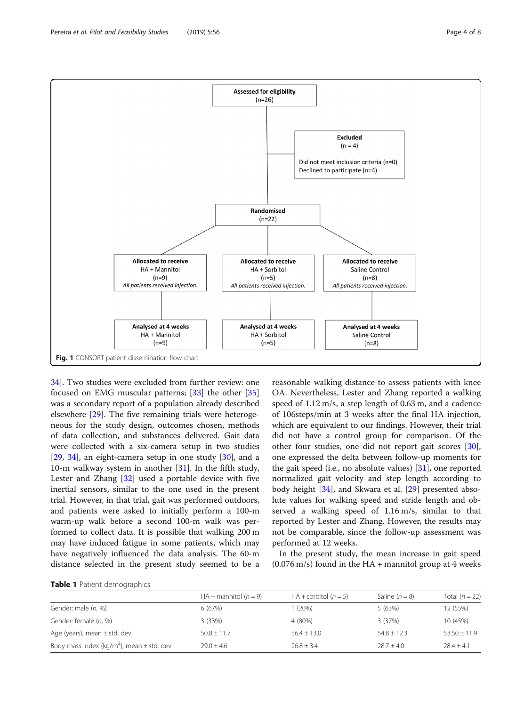<span id="page-3-0"></span>Pereira et al. Pilot and Feasibility Studies (2019) 5:56 Page 4 of 8



[34\]](#page-7-0). Two studies were excluded from further review: one focused on EMG muscular patterns; [\[33](#page-7-0)] the other [[35](#page-7-0)] was a secondary report of a population already described elsewhere [\[29](#page-7-0)]. The five remaining trials were heterogeneous for the study design, outcomes chosen, methods of data collection, and substances delivered. Gait data were collected with a six-camera setup in two studies [[29,](#page-7-0) [34](#page-7-0)], an eight-camera setup in one study [[30\]](#page-7-0), and a 10-m walkway system in another  $[31]$  $[31]$  $[31]$ . In the fifth study, Lester and Zhang [\[32](#page-7-0)] used a portable device with five inertial sensors, similar to the one used in the present trial. However, in that trial, gait was performed outdoors, and patients were asked to initially perform a 100-m warm-up walk before a second 100-m walk was performed to collect data. It is possible that walking 200 m may have induced fatigue in some patients, which may have negatively influenced the data analysis. The 60-m distance selected in the present study seemed to be a reasonable walking distance to assess patients with knee OA. Nevertheless, Lester and Zhang reported a walking speed of 1.12 m/s, a step length of 0.63 m, and a cadence of 106steps/min at 3 weeks after the final HA injection, which are equivalent to our findings. However, their trial did not have a control group for comparison. Of the other four studies, one did not report gait scores [\[30](#page-7-0)], one expressed the delta between follow-up moments for the gait speed (i.e., no absolute values) [[31\]](#page-7-0), one reported normalized gait velocity and step length according to body height [\[34](#page-7-0)], and Skwara et al. [[29\]](#page-7-0) presented absolute values for walking speed and stride length and observed a walking speed of 1.16 m/s, similar to that reported by Lester and Zhang. However, the results may not be comparable, since the follow-up assessment was performed at 12 weeks.

In the present study, the mean increase in gait speed  $(0.076 \text{ m/s})$  found in the HA + mannitol group at 4 weeks

|  |  | Table 1 Patient demographics |  |
|--|--|------------------------------|--|
|--|--|------------------------------|--|

|                                                           | $HA +$ mannitol ( $n = 9$ ) | $HA +$ sorbitol ( $n = 5$ ) | Saline $(n = 8)$ | Total $(n = 22)$ |
|-----------------------------------------------------------|-----------------------------|-----------------------------|------------------|------------------|
| Gender: male (n, %)                                       | 6(67%)                      | (20%)                       | 5(63%)           | 12 (55%)         |
| Gender: female (n, %)                                     | 3(33%)                      | 4 (80%)                     | 3(37%)           | 10 (45%)         |
| Age (years), mean $\pm$ std. dev                          | $50.8 \pm 11.7$             | $56.4 + 13.0$               | $54.8 + 12.3$    | $53.50 \pm 11.9$ |
| Body mass index (kg/m <sup>2</sup> ), mean $\pm$ std. dev | $29.0 \pm 4.6$              | $76.8 + 3.4$                | $78.7 + 4.0$     | $78.4 + 4.1$     |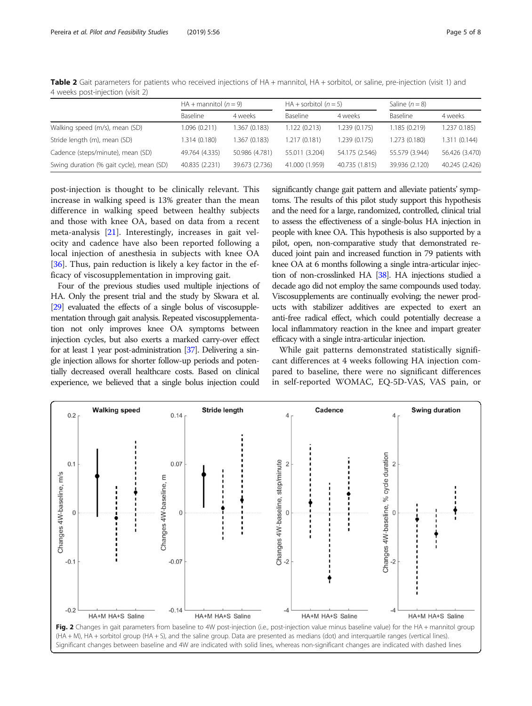| 4 WEEKS DUSTINECTION (VISIT Z)           |                           |                |                             |                |                  |                |  |  |
|------------------------------------------|---------------------------|----------------|-----------------------------|----------------|------------------|----------------|--|--|
|                                          | $HA +$ mannitol $(n = 9)$ |                | $HA +$ sorbitol ( $n = 5$ ) |                | Saline $(n = 8)$ |                |  |  |
|                                          | Baseline                  | 4 weeks        | Baseline                    | 4 weeks        | Baseline         | 4 weeks        |  |  |
| Walking speed (m/s), mean (SD)           | 1.096(0.211)              | 1.367 (0.183)  | 1.122(0.213)                | 1.239 (0.175)  | 1.185 (0.219)    | 1.237 0.185)   |  |  |
| Stride length (m), mean (SD)             | 1.314 (0.180)             | 1.367 (0.183)  | 1.217(0.181)                | 1.239 (0.175)  | 1.273 (0.180)    | 1.311 (0.144)  |  |  |
| Cadence (steps/minute), mean (SD)        | 49.764 (4.335)            | 50.986 (4.781) | 55.011 (3.204)              | 54.175 (2.546) | 55.579 (3.944)   | 56.426 (3.470) |  |  |
| Swing duration (% gait cycle), mean (SD) | 40.835 (2.231)            | 39.673 (2.736) | 41.000 (1.959)              | 40.735 (1.815) | 39.936 (2.120)   | 40.245 (2.426) |  |  |

<span id="page-4-0"></span>Table 2 Gait parameters for patients who received injections of HA + mannitol, HA + sorbitol, or saline, pre-injection (visit 1) and 4 weeks post-injection (visit 2)

post-injection is thought to be clinically relevant. This increase in walking speed is 13% greater than the mean difference in walking speed between healthy subjects and those with knee OA, based on data from a recent meta-analysis [\[21](#page-7-0)]. Interestingly, increases in gait velocity and cadence have also been reported following a local injection of anesthesia in subjects with knee OA [[36\]](#page-7-0). Thus, pain reduction is likely a key factor in the efficacy of viscosupplementation in improving gait.

Four of the previous studies used multiple injections of HA. Only the present trial and the study by Skwara et al. [[29\]](#page-7-0) evaluated the effects of a single bolus of viscosupplementation through gait analysis. Repeated viscosupplementation not only improves knee OA symptoms between injection cycles, but also exerts a marked carry-over effect for at least 1 year post-administration [\[37](#page-7-0)]. Delivering a single injection allows for shorter follow-up periods and potentially decreased overall healthcare costs. Based on clinical experience, we believed that a single bolus injection could

significantly change gait pattern and alleviate patients' symptoms. The results of this pilot study support this hypothesis and the need for a large, randomized, controlled, clinical trial to assess the effectiveness of a single-bolus HA injection in people with knee OA. This hypothesis is also supported by a pilot, open, non-comparative study that demonstrated reduced joint pain and increased function in 79 patients with knee OA at 6 months following a single intra-articular injection of non-crosslinked HA [[38\]](#page-7-0). HA injections studied a decade ago did not employ the same compounds used today. Viscosupplements are continually evolving; the newer products with stabilizer additives are expected to exert an anti-free radical effect, which could potentially decrease a local inflammatory reaction in the knee and impart greater efficacy with a single intra-articular injection.

While gait patterns demonstrated statistically significant differences at 4 weeks following HA injection compared to baseline, there were no significant differences in self-reported WOMAC, EQ-5D-VAS, VAS pain, or

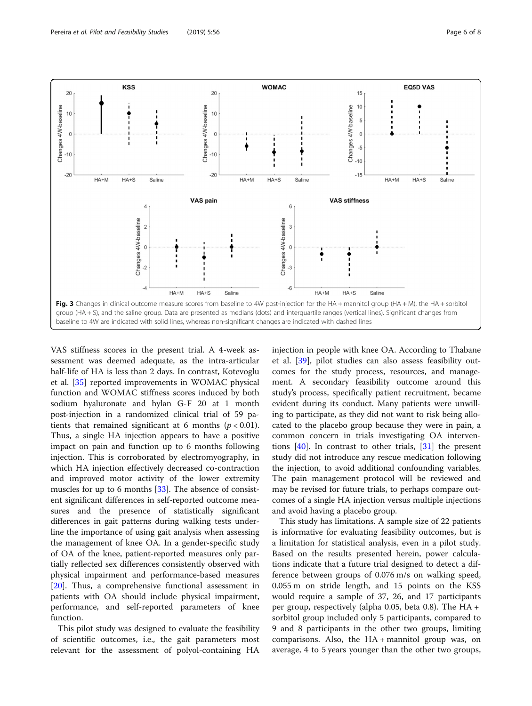<span id="page-5-0"></span>

VAS stiffness scores in the present trial. A 4-week assessment was deemed adequate, as the intra-articular half-life of HA is less than 2 days. In contrast, Kotevoglu et al. [\[35\]](#page-7-0) reported improvements in WOMAC physical function and WOMAC stiffness scores induced by both sodium hyaluronate and hylan G-F 20 at 1 month post-injection in a randomized clinical trial of 59 patients that remained significant at 6 months ( $p < 0.01$ ). Thus, a single HA injection appears to have a positive impact on pain and function up to 6 months following injection. This is corroborated by electromyography, in which HA injection effectively decreased co-contraction and improved motor activity of the lower extremity muscles for up to 6 months [\[33\]](#page-7-0). The absence of consistent significant differences in self-reported outcome measures and the presence of statistically significant differences in gait patterns during walking tests underline the importance of using gait analysis when assessing the management of knee OA. In a gender-specific study of OA of the knee, patient-reported measures only partially reflected sex differences consistently observed with physical impairment and performance-based measures [[20\]](#page-7-0). Thus, a comprehensive functional assessment in patients with OA should include physical impairment, performance, and self-reported parameters of knee function.

This pilot study was designed to evaluate the feasibility of scientific outcomes, i.e., the gait parameters most relevant for the assessment of polyol-containing HA

injection in people with knee OA. According to Thabane et al. [[39\]](#page-7-0), pilot studies can also assess feasibility outcomes for the study process, resources, and management. A secondary feasibility outcome around this study's process, specifically patient recruitment, became evident during its conduct. Many patients were unwilling to participate, as they did not want to risk being allocated to the placebo group because they were in pain, a common concern in trials investigating OA interventions  $[40]$  $[40]$  $[40]$ . In contrast to other trials,  $[31]$  $[31]$  the present study did not introduce any rescue medication following the injection, to avoid additional confounding variables. The pain management protocol will be reviewed and may be revised for future trials, to perhaps compare outcomes of a single HA injection versus multiple injections and avoid having a placebo group.

This study has limitations. A sample size of 22 patients is informative for evaluating feasibility outcomes, but is a limitation for statistical analysis, even in a pilot study. Based on the results presented herein, power calculations indicate that a future trial designed to detect a difference between groups of 0.076 m/s on walking speed, 0.055 m on stride length, and 15 points on the KSS would require a sample of 37, 26, and 17 participants per group, respectively (alpha 0.05, beta 0.8). The HA + sorbitol group included only 5 participants, compared to 9 and 8 participants in the other two groups, limiting comparisons. Also, the HA + mannitol group was, on average, 4 to 5 years younger than the other two groups,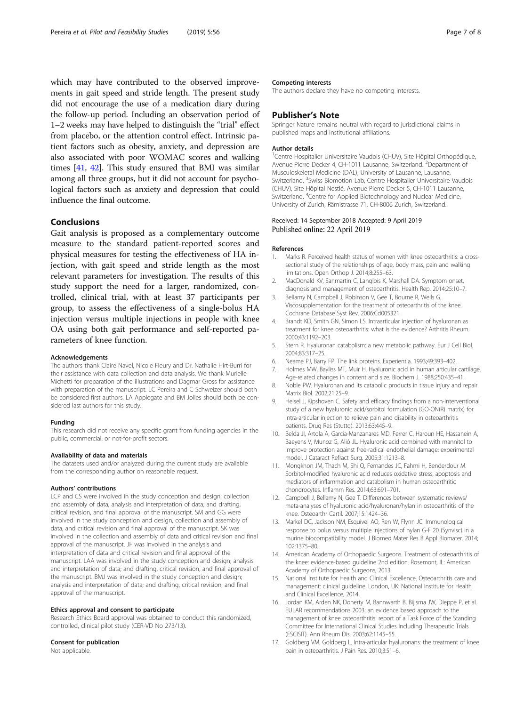<span id="page-6-0"></span>which may have contributed to the observed improvements in gait speed and stride length. The present study did not encourage the use of a medication diary during the follow-up period. Including an observation period of 1–2 weeks may have helped to distinguish the "trial" effect from placebo, or the attention control effect. Intrinsic patient factors such as obesity, anxiety, and depression are also associated with poor WOMAC scores and walking times [\[41](#page-7-0), [42\]](#page-7-0). This study ensured that BMI was similar among all three groups, but it did not account for psychological factors such as anxiety and depression that could influence the final outcome.

### Conclusions

Gait analysis is proposed as a complementary outcome measure to the standard patient-reported scores and physical measures for testing the effectiveness of HA injection, with gait speed and stride length as the most relevant parameters for investigation. The results of this study support the need for a larger, randomized, controlled, clinical trial, with at least 37 participants per group, to assess the effectiveness of a single-bolus HA injection versus multiple injections in people with knee OA using both gait performance and self-reported parameters of knee function.

#### Acknowledgements

The authors thank Claire Navel, Nicole Fleury and Dr. Nathalie Hirt-Burri for their assistance with data collection and data analysis. We thank Murielle Michetti for preparation of the illustrations and Dagmar Gross for assistance with preparation of the manuscript. LC Pereira and C Schweizer should both be considered first authors. LA Applegate and BM Jolles should both be considered last authors for this study.

#### Funding

This research did not receive any specific grant from funding agencies in the public, commercial, or not-for-profit sectors.

#### Availability of data and materials

The datasets used and/or analyzed during the current study are available from the corresponding author on reasonable request.

#### Authors' contributions

LCP and CS were involved in the study conception and design; collection and assembly of data; analysis and interpretation of data; and drafting, critical revision, and final approval of the manuscript. SM and GG were involved in the study conception and design, collection and assembly of data, and critical revision and final approval of the manuscript. SK was involved in the collection and assembly of data and critical revision and final approval of the manuscript. JF was involved in the analysis and interpretation of data and critical revision and final approval of the manuscript. LAA was involved in the study conception and design; analysis and interpretation of data; and drafting, critical revision, and final approval of the manuscript. BMJ was involved in the study conception and design; analysis and interpretation of data; and drafting, critical revision, and final approval of the manuscript.

#### Ethics approval and consent to participate

Research Ethics Board approval was obtained to conduct this randomized, controlled, clinical pilot study (CER-VD No 273/13).

#### Consent for publication

Not applicable.

#### Competing interests

The authors declare they have no competing interests.

#### Publisher's Note

Springer Nature remains neutral with regard to jurisdictional claims in published maps and institutional affiliations.

#### Author details

<sup>1</sup> Centre Hospitalier Universitaire Vaudois (CHUV), Site Hôpital Orthopédique, Avenue Pierre Decker 4, CH-1011 Lausanne, Switzerland. <sup>2</sup>Department of Musculoskeletal Medicine (DAL), University of Lausanne, Lausanne, Switzerland. <sup>3</sup>Swiss Biomotion Lab, Centre Hospitalier Universitaire Vaudois (CHUV), Site Hôpital Nestlé, Avenue Pierre Decker 5, CH-1011 Lausanne, Switzerland. <sup>4</sup>Centre for Applied Biotechnology and Nuclear Medicine, University of Zurich, Rämistrasse 71, CH-8006 Zurich, Switzerland.

#### Received: 14 September 2018 Accepted: 9 April 2019 Published online: 22 April 2019

#### References

- 1. Marks R. Perceived health status of women with knee osteoarthritis: a crosssectional study of the relationships of age, body mass, pain and walking limitations. Open Orthop J. 2014;8:255–63.
- 2. MacDonald KV, Sanmartin C, Langlois K, Marshall DA. Symptom onset, diagnosis and management of osteoarthritis. Health Rep. 2014;25:10–7.
- 3. Bellamy N, Campbell J, Robinson V, Gee T, Bourne R, Wells G. Viscosupplementation for the treatment of osteoarthritis of the knee. Cochrane Database Syst Rev. 2006:Cd005321.
- 4. Brandt KD, Smith GN, Simon LS. Intraarticular injection of hyaluronan as treatment for knee osteoarthritis: what is the evidence? Arthritis Rheum. 2000;43:1192–203.
- 5. Stern R. Hyaluronan catabolism: a new metabolic pathway. Eur J Cell Biol. 2004;83:317–25.
- 6. Neame PJ, Barry FP. The link proteins. Experientia. 1993;49:393–402.
- 7. Holmes MW, Bayliss MT, Muir H. Hyaluronic acid in human articular cartilage. Age-related changes in content and size. Biochem J. 1988;250:435–41.
- 8. Noble PW. Hyaluronan and its catabolic products in tissue injury and repair. Matrix Biol. 2002;21:25–9.
- 9. Heisel J, Kipshoven C. Safety and efficacy findings from a non-interventional study of a new hyaluronic acid/sorbitol formulation (GO-ON(R) matrix) for intra-articular injection to relieve pain and disability in osteoarthritis patients. Drug Res (Stuttg). 2013;63:445–9.
- 10. Belda JI, Artola A, Garcia-Manzanares MD, Ferrer C, Haroun HE, Hassanein A, Baeyens V, Munoz G, Alió JL. Hyaluronic acid combined with mannitol to improve protection against free-radical endothelial damage: experimental model. J Cataract Refract Surg. 2005;31:1213–8.
- 11. Mongkhon JM, Thach M, Shi Q, Fernandes JC, Fahmi H, Benderdour M. Sorbitol-modified hyaluronic acid reduces oxidative stress, apoptosis and mediators of inflammation and catabolism in human osteoarthritic chondrocytes. Inflamm Res. 2014;63:691–701.
- 12. Campbell J, Bellamy N, Gee T. Differences between systematic reviews/ meta-analyses of hyaluronic acid/hyaluronan/hylan in osteoarthritis of the knee. Osteoarthr Cartil. 2007;15:1424–36.
- 13. Markel DC, Jackson NM, Esquivel AO, Ren W, Flynn JC. Immunological response to bolus versus multiple injections of hylan G-F 20 (Synvisc) in a murine biocompatibility model. J Biomed Mater Res B Appl Biomater. 2014; 102:1375–80.
- 14. American Academy of Orthopaedic Surgeons. Treatment of osteoarthritis of the knee: evidence-based guideline 2nd edition. Rosemont, IL: American Academy of Orthopaedic Surgeons, 2013.
- 15. National Institute for Health and Clinical Excellence. Osteoarthritis care and management: clinical guideline. London, UK: National Institute for Health and Clinical Excellence, 2014.
- 16. Jordan KM, Arden NK, Doherty M, Bannwarth B, Bijlsma JW, Dieppe P, et al. EULAR recommendations 2003: an evidence based approach to the management of knee osteoarthritis: report of a Task Force of the Standing Committee for International Clinical Studies Including Therapeutic Trials (ESCISIT). Ann Rheum Dis. 2003;62:1145–55.
- 17. Goldberg VM, Goldberg L. Intra-articular hyaluronans: the treatment of knee pain in osteoarthritis. J Pain Res. 2010;3:51–6.